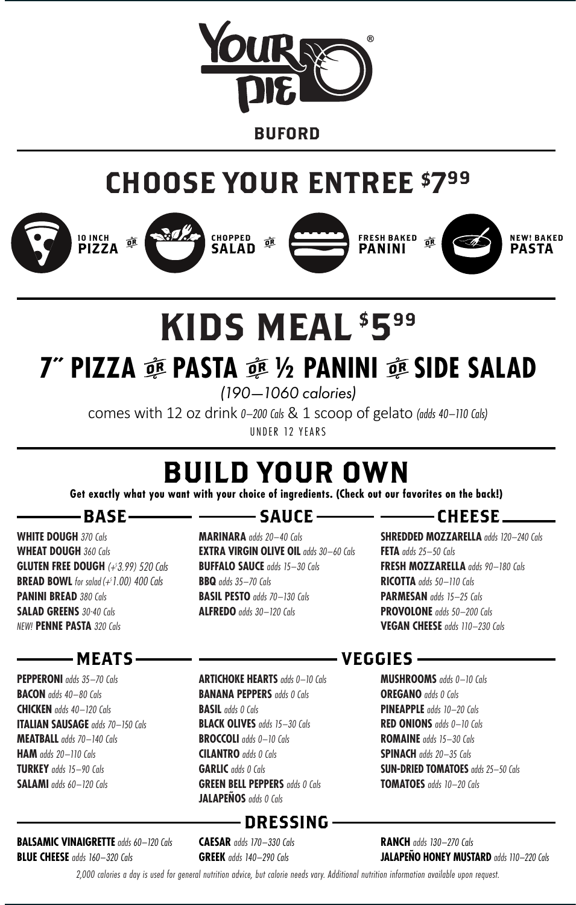

**BUFORD** 

## CHOOSE YOUR ENTREE \$799





CHOPPED SALAD







NEW! BAKED **PASTA** 

# KIDS MEAL \$599

## *T* **PIZZA**  $\tilde{\mathfrak{g}}$  **PASTA**  $\tilde{\mathfrak{g}}$  **1/2 PANINI**  $\tilde{\mathfrak{g}}$  **SIDE SALAD**

(190—1060 calories)

comes with 12 oz drink 0-200 Cals & 1 scoop of gelato (adds 40-110 Cals) UNDER 12 YEARS

## BUILD YOUR OWN

**Get exactly what you want with your choice of ingredients. (Check out our favorites on the back!)**

## -BASE-

**WHITE DOUGH** 370 Cals **WHEAT DOUGH** 360 Cals **GLUTEN FREE DOUGH** (+3.99) 520 Cals **BREAD BOWL** for salad  $(+^51.00)$  400 Cals **PANINI BREAD 380 Cals SALAD GREENS** 30-40 Cals NEW! **PENNE PASTA** 320 Cals

## MEATS

**PEPPERONI** adds 35–70 Cals **BACON** adds 40–80 Cals **CHICKEN** adds 40–120 Cals **ITALIAN SAUSAGE** adds 70–150 Cals **MEATBALL** adds 70–140 Cals **HAM** adds 20–110 Cals **TURKEY** adds 15–90 Cals **SALAMI** adds 60–120 Cals

**BALSAMIC VINAIGRETTE** adds 60-120 Cals **BLUE CHEESE** adds 160–320 Cals

## $\rule{1em}{0.15mm}$   $\leq$   $\leq$   $\leq$   $\leq$   $\leq$   $\leq$   $\leq$   $\leq$   $\leq$   $\leq$   $\leq$   $\leq$   $\leq$   $\leq$   $\leq$   $\leq$   $\leq$   $\leq$   $\leq$   $\leq$   $\leq$   $\leq$   $\leq$   $\leq$   $\leq$   $\leq$   $\leq$   $\leq$   $\leq$   $\leq$   $\leq$   $\leq$   $\leq$   $\leq$   $\$

**MARINARA** adds 20–40 Cals **EXTRA VIRGIN OLIVE OIL** adds 30-60 Cals **BUFFALO SAUCE** adds 15-30 Cals **BBQ** adds 35–70 Cals **BASIL PESTO** adds 70–130 Cals **ALFREDO** adds 30–120 Cals

## CHEESE

**SHREDDED MOZZARELLA** adds 120-240 Cals **FETA** adds 25–50 Cals **FRESH MOZZARELLA** adds 90–180 Cals **RICOTTA** adds 50–110 Cals PARMESAN adds 15-25 Cals **PROVOLONE** adds 50–200 Cals **VEGAN CHEESE** adds 110–230 Cals

#### **ARTICHOKE HEARTS** adds 0-10 Cals **BANANA PEPPERS** adds 0 Cals **BASIL** adds 0 Cals **BLACK OLIVES** adds 15–30 Cals **BROCCOLI** adds 0–10 Cals **CILANTRO** adds 0 Cals **GARLIC** adds 0 Cals **GREEN BELL PEPPERS** adds 0 Cals **JALAPEÑOS** adds 0 Cals

## DRESSING

**CAESAR** adds 170–330 Cals **GREEK** adds 140–290 Cals

## VEGGIES

**MUSHROOMS** adds 0–10 Cals **OREGANO** *adds* 0 Cals **PINEAPPLE** adds 10–20 Cals **RED ONIONS** adds 0–10 Cals **ROMAINE** adds 15–30 Cals **SPINACH** adds 20–35 Cals **SUN-DRIED TOMATOES** adds 25-50 Cals **TOMATOES** adds 10–20 Cals

**RANCH** adds 130–270 Cals **JALAPEÑO HONEY MUSTARD** adds 110-220 Cals

2,000 calories a day is used for general nutrition advice, but calorie needs vary. Additional nutrition information available upon request.